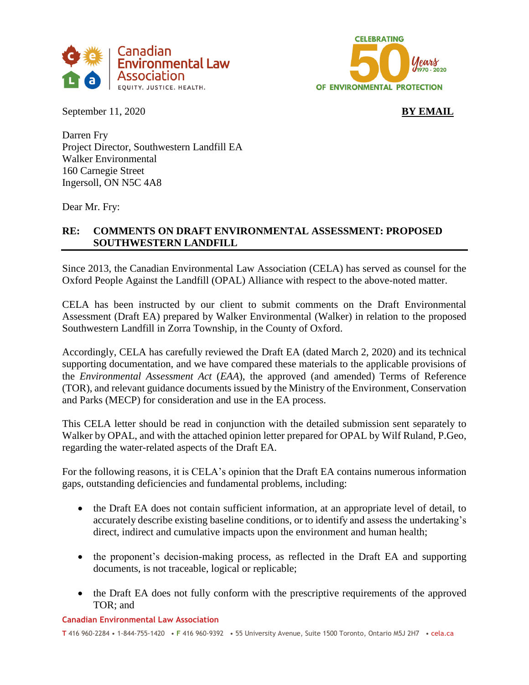



September 11, 2020 **BY EMAIL** 

Darren Fry Project Director, Southwestern Landfill EA Walker Environmental 160 Carnegie Street Ingersoll, ON N5C 4A8

Dear Mr. Fry:

# **RE: COMMENTS ON DRAFT ENVIRONMENTAL ASSESSMENT: PROPOSED SOUTHWESTERN LANDFILL**

Since 2013, the Canadian Environmental Law Association (CELA) has served as counsel for the Oxford People Against the Landfill (OPAL) Alliance with respect to the above-noted matter.

CELA has been instructed by our client to submit comments on the Draft Environmental Assessment (Draft EA) prepared by Walker Environmental (Walker) in relation to the proposed Southwestern Landfill in Zorra Township, in the County of Oxford.

Accordingly, CELA has carefully reviewed the Draft EA (dated March 2, 2020) and its technical supporting documentation, and we have compared these materials to the applicable provisions of the *Environmental Assessment Act* (*EAA*), the approved (and amended) Terms of Reference (TOR), and relevant guidance documents issued by the Ministry of the Environment, Conservation and Parks (MECP) for consideration and use in the EA process.

This CELA letter should be read in conjunction with the detailed submission sent separately to Walker by OPAL, and with the attached opinion letter prepared for OPAL by Wilf Ruland, P.Geo, regarding the water-related aspects of the Draft EA.

For the following reasons, it is CELA's opinion that the Draft EA contains numerous information gaps, outstanding deficiencies and fundamental problems, including:

- the Draft EA does not contain sufficient information, at an appropriate level of detail, to accurately describe existing baseline conditions, or to identify and assess the undertaking's direct, indirect and cumulative impacts upon the environment and human health;
- the proponent's decision-making process, as reflected in the Draft EA and supporting documents, is not traceable, logical or replicable;
- the Draft EA does not fully conform with the prescriptive requirements of the approved TOR; and

#### **Canadian Environmental Law Association**

**T** 416 960-2284 • 1-844-755-1420 • **F** 416 960-9392 • 55 University Avenue, Suite 1500 Toronto, Ontario M5J 2H7 • cela.ca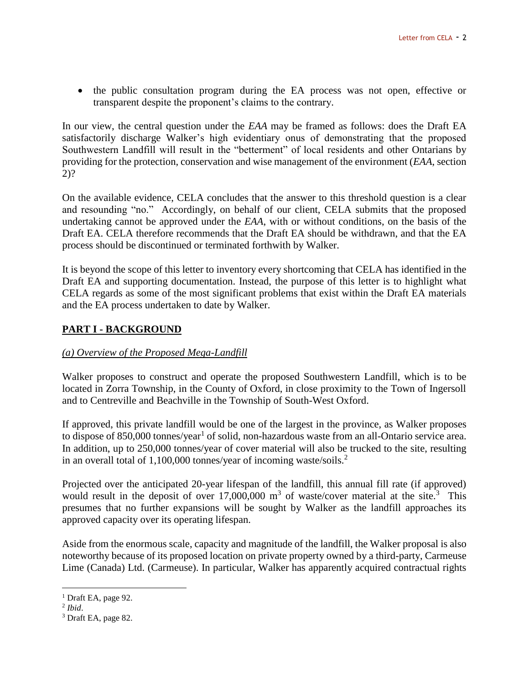the public consultation program during the EA process was not open, effective or transparent despite the proponent's claims to the contrary.

In our view, the central question under the *EAA* may be framed as follows: does the Draft EA satisfactorily discharge Walker's high evidentiary onus of demonstrating that the proposed Southwestern Landfill will result in the "betterment" of local residents and other Ontarians by providing for the protection, conservation and wise management of the environment (*EAA*, section 2)?

On the available evidence, CELA concludes that the answer to this threshold question is a clear and resounding "no." Accordingly, on behalf of our client, CELA submits that the proposed undertaking cannot be approved under the *EAA*, with or without conditions, on the basis of the Draft EA. CELA therefore recommends that the Draft EA should be withdrawn, and that the EA process should be discontinued or terminated forthwith by Walker.

It is beyond the scope of this letter to inventory every shortcoming that CELA has identified in the Draft EA and supporting documentation. Instead, the purpose of this letter is to highlight what CELA regards as some of the most significant problems that exist within the Draft EA materials and the EA process undertaken to date by Walker.

# **PART I - BACKGROUND**

# *(a) Overview of the Proposed Mega-Landfill*

Walker proposes to construct and operate the proposed Southwestern Landfill, which is to be located in Zorra Township, in the County of Oxford, in close proximity to the Town of Ingersoll and to Centreville and Beachville in the Township of South-West Oxford.

If approved, this private landfill would be one of the largest in the province, as Walker proposes to dispose of 850,000 tonnes/year<sup>1</sup> of solid, non-hazardous waste from an all-Ontario service area. In addition, up to 250,000 tonnes/year of cover material will also be trucked to the site, resulting in an overall total of 1,100,000 tonnes/year of incoming waste/soils.<sup>2</sup>

Projected over the anticipated 20-year lifespan of the landfill, this annual fill rate (if approved) would result in the deposit of over 17,000,000  $\text{m}^3$  of waste/cover material at the site.<sup>3</sup> This presumes that no further expansions will be sought by Walker as the landfill approaches its approved capacity over its operating lifespan.

Aside from the enormous scale, capacity and magnitude of the landfill, the Walker proposal is also noteworthy because of its proposed location on private property owned by a third-party, Carmeuse Lime (Canada) Ltd. (Carmeuse). In particular, Walker has apparently acquired contractual rights

 $<sup>1</sup>$  Draft EA, page 92.</sup>

<sup>2</sup> *Ibid*.

<sup>3</sup> Draft EA, page 82.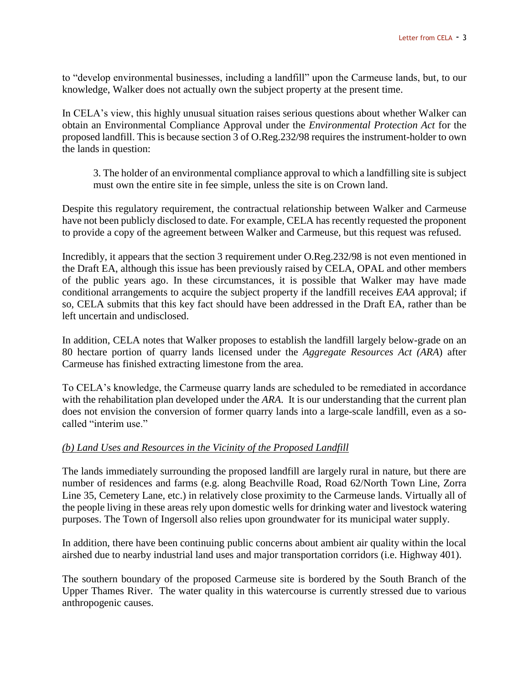to "develop environmental businesses, including a landfill" upon the Carmeuse lands, but, to our knowledge, Walker does not actually own the subject property at the present time.

In CELA's view, this highly unusual situation raises serious questions about whether Walker can obtain an Environmental Compliance Approval under the *Environmental Protection Act* for the proposed landfill. This is because section 3 of O.Reg.232/98 requires the instrument-holder to own the lands in question:

3. The holder of an environmental compliance approval to which a landfilling site is subject must own the entire site in fee simple, unless the site is on Crown land.

Despite this regulatory requirement, the contractual relationship between Walker and Carmeuse have not been publicly disclosed to date. For example, CELA has recently requested the proponent to provide a copy of the agreement between Walker and Carmeuse, but this request was refused.

Incredibly, it appears that the section 3 requirement under O.Reg.232/98 is not even mentioned in the Draft EA, although this issue has been previously raised by CELA, OPAL and other members of the public years ago. In these circumstances, it is possible that Walker may have made conditional arrangements to acquire the subject property if the landfill receives *EAA* approval; if so, CELA submits that this key fact should have been addressed in the Draft EA, rather than be left uncertain and undisclosed.

In addition, CELA notes that Walker proposes to establish the landfill largely below-grade on an 80 hectare portion of quarry lands licensed under the *Aggregate Resources Act (ARA*) after Carmeuse has finished extracting limestone from the area.

To CELA's knowledge, the Carmeuse quarry lands are scheduled to be remediated in accordance with the rehabilitation plan developed under the *ARA*. It is our understanding that the current plan does not envision the conversion of former quarry lands into a large-scale landfill, even as a socalled "interim use."

### *(b) Land Uses and Resources in the Vicinity of the Proposed Landfill*

The lands immediately surrounding the proposed landfill are largely rural in nature, but there are number of residences and farms (e.g. along Beachville Road, Road 62/North Town Line, Zorra Line 35, Cemetery Lane, etc.) in relatively close proximity to the Carmeuse lands. Virtually all of the people living in these areas rely upon domestic wells for drinking water and livestock watering purposes. The Town of Ingersoll also relies upon groundwater for its municipal water supply.

In addition, there have been continuing public concerns about ambient air quality within the local airshed due to nearby industrial land uses and major transportation corridors (i.e. Highway 401).

The southern boundary of the proposed Carmeuse site is bordered by the South Branch of the Upper Thames River. The water quality in this watercourse is currently stressed due to various anthropogenic causes.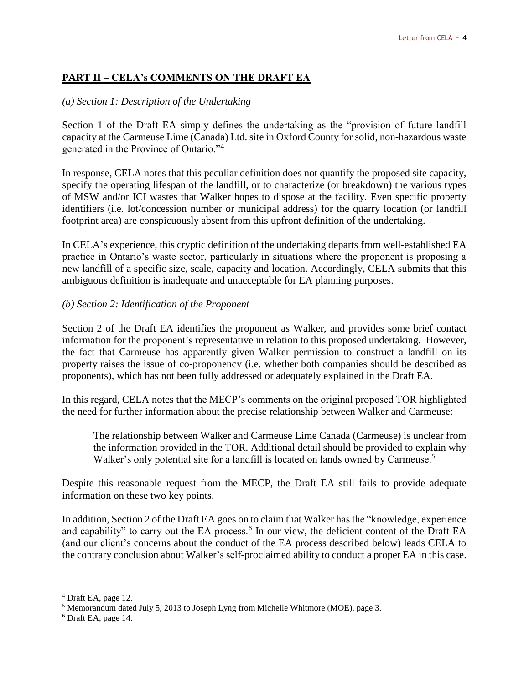# **PART II – CELA's COMMENTS ON THE DRAFT EA**

### *(a) Section 1: Description of the Undertaking*

Section 1 of the Draft EA simply defines the undertaking as the "provision of future landfill capacity at the Carmeuse Lime (Canada) Ltd. site in Oxford County for solid, non-hazardous waste generated in the Province of Ontario."<sup>4</sup>

In response, CELA notes that this peculiar definition does not quantify the proposed site capacity, specify the operating lifespan of the landfill, or to characterize (or breakdown) the various types of MSW and/or ICI wastes that Walker hopes to dispose at the facility. Even specific property identifiers (i.e. lot/concession number or municipal address) for the quarry location (or landfill footprint area) are conspicuously absent from this upfront definition of the undertaking.

In CELA's experience, this cryptic definition of the undertaking departs from well-established EA practice in Ontario's waste sector, particularly in situations where the proponent is proposing a new landfill of a specific size, scale, capacity and location. Accordingly, CELA submits that this ambiguous definition is inadequate and unacceptable for EA planning purposes.

### *(b) Section 2: Identification of the Proponent*

Section 2 of the Draft EA identifies the proponent as Walker, and provides some brief contact information for the proponent's representative in relation to this proposed undertaking. However, the fact that Carmeuse has apparently given Walker permission to construct a landfill on its property raises the issue of co-proponency (i.e. whether both companies should be described as proponents), which has not been fully addressed or adequately explained in the Draft EA.

In this regard, CELA notes that the MECP's comments on the original proposed TOR highlighted the need for further information about the precise relationship between Walker and Carmeuse:

The relationship between Walker and Carmeuse Lime Canada (Carmeuse) is unclear from the information provided in the TOR. Additional detail should be provided to explain why Walker's only potential site for a landfill is located on lands owned by Carmeuse.<sup>5</sup>

Despite this reasonable request from the MECP, the Draft EA still fails to provide adequate information on these two key points.

In addition, Section 2 of the Draft EA goes on to claim that Walker has the "knowledge, experience and capability" to carry out the EA process.<sup>6</sup> In our view, the deficient content of the Draft EA (and our client's concerns about the conduct of the EA process described below) leads CELA to the contrary conclusion about Walker's self-proclaimed ability to conduct a proper EA in this case.

<sup>4</sup> Draft EA, page 12.

<sup>5</sup> Memorandum dated July 5, 2013 to Joseph Lyng from Michelle Whitmore (MOE), page 3.

<sup>6</sup> Draft EA, page 14.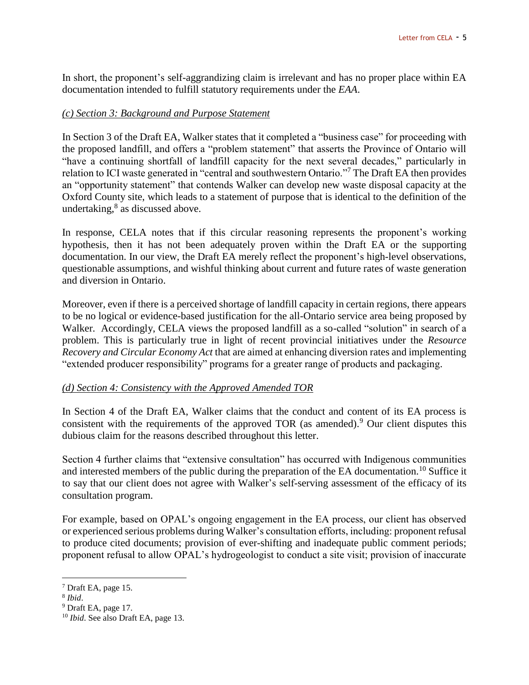In short, the proponent's self-aggrandizing claim is irrelevant and has no proper place within EA documentation intended to fulfill statutory requirements under the *EAA*.

### *(c) Section 3: Background and Purpose Statement*

In Section 3 of the Draft EA, Walker states that it completed a "business case" for proceeding with the proposed landfill, and offers a "problem statement" that asserts the Province of Ontario will "have a continuing shortfall of landfill capacity for the next several decades," particularly in relation to ICI waste generated in "central and southwestern Ontario."<sup>7</sup> The Draft EA then provides an "opportunity statement" that contends Walker can develop new waste disposal capacity at the Oxford County site, which leads to a statement of purpose that is identical to the definition of the undertaking,<sup>8</sup> as discussed above.

In response, CELA notes that if this circular reasoning represents the proponent's working hypothesis, then it has not been adequately proven within the Draft EA or the supporting documentation. In our view, the Draft EA merely reflect the proponent's high-level observations, questionable assumptions, and wishful thinking about current and future rates of waste generation and diversion in Ontario.

Moreover, even if there is a perceived shortage of landfill capacity in certain regions, there appears to be no logical or evidence-based justification for the all-Ontario service area being proposed by Walker. Accordingly, CELA views the proposed landfill as a so-called "solution" in search of a problem. This is particularly true in light of recent provincial initiatives under the *Resource Recovery and Circular Economy Act* that are aimed at enhancing diversion rates and implementing "extended producer responsibility" programs for a greater range of products and packaging.

### *(d) Section 4: Consistency with the Approved Amended TOR*

In Section 4 of the Draft EA, Walker claims that the conduct and content of its EA process is consistent with the requirements of the approved TOR (as amended).<sup>9</sup> Our client disputes this dubious claim for the reasons described throughout this letter.

Section 4 further claims that "extensive consultation" has occurred with Indigenous communities and interested members of the public during the preparation of the EA documentation.<sup>10</sup> Suffice it to say that our client does not agree with Walker's self-serving assessment of the efficacy of its consultation program.

For example, based on OPAL's ongoing engagement in the EA process, our client has observed or experienced serious problems during Walker's consultation efforts, including: proponent refusal to produce cited documents; provision of ever-shifting and inadequate public comment periods; proponent refusal to allow OPAL's hydrogeologist to conduct a site visit; provision of inaccurate

<sup>7</sup> Draft EA, page 15.

<sup>8</sup> *Ibid*.

<sup>9</sup> Draft EA, page 17.

<sup>10</sup> *Ibid*. See also Draft EA, page 13.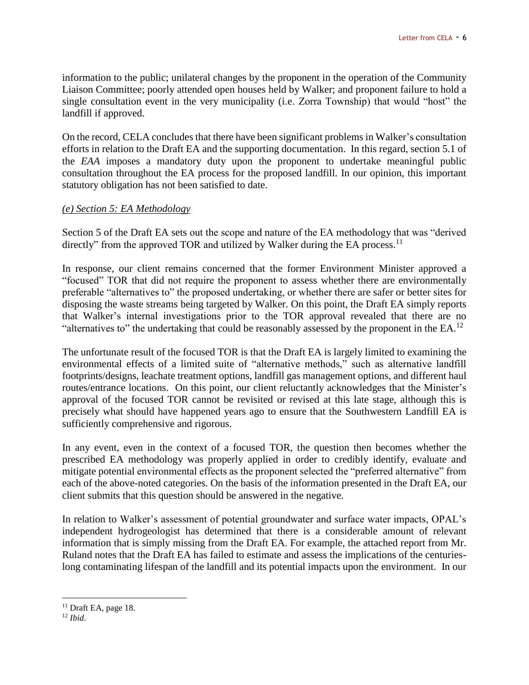information to the public; unilateral changes by the proponent in the operation of the Community Liaison Committee; poorly attended open houses held by Walker; and proponent failure to hold a single consultation event in the very municipality (i.e. Zorra Township) that would "host" the landfill if approved.

On the record, CELA concludes that there have been significant problems in Walker's consultation efforts in relation to the Draft EA and the supporting documentation. In this regard, section 5.1 of the *EAA* imposes a mandatory duty upon the proponent to undertake meaningful public consultation throughout the EA process for the proposed landfill. In our opinion, this important statutory obligation has not been satisfied to date.

#### *(e) Section 5: EA Methodology*

Section 5 of the Draft EA sets out the scope and nature of the EA methodology that was "derived directly" from the approved TOR and utilized by Walker during the EA process.<sup>11</sup>

In response, our client remains concerned that the former Environment Minister approved a "focused" TOR that did not require the proponent to assess whether there are environmentally preferable "alternatives to" the proposed undertaking, or whether there are safer or better sites for disposing the waste streams being targeted by Walker. On this point, the Draft EA simply reports that Walker's internal investigations prior to the TOR approval revealed that there are no "alternatives to" the undertaking that could be reasonably assessed by the proponent in the  $EA$ <sup>12</sup>

The unfortunate result of the focused TOR is that the Draft EA is largely limited to examining the environmental effects of a limited suite of "alternative methods," such as alternative landfill footprints/designs, leachate treatment options, landfill gas management options, and different haul routes/entrance locations. On this point, our client reluctantly acknowledges that the Minister's approval of the focused TOR cannot be revisited or revised at this late stage, although this is precisely what should have happened years ago to ensure that the Southwestern Landfill EA is sufficiently comprehensive and rigorous.

In any event, even in the context of a focused TOR, the question then becomes whether the prescribed EA methodology was properly applied in order to credibly identify, evaluate and mitigate potential environmental effects as the proponent selected the "preferred alternative" from each of the above-noted categories. On the basis of the information presented in the Draft EA, our client submits that this question should be answered in the negative.

In relation to Walker's assessment of potential groundwater and surface water impacts, OPAL's independent hydrogeologist has determined that there is a considerable amount of relevant information that is simply missing from the Draft EA. For example, the attached report from Mr. Ruland notes that the Draft EA has failed to estimate and assess the implications of the centurieslong contaminating lifespan of the landfill and its potential impacts upon the environment. In our

 $11$  Draft EA, page 18.

<sup>12</sup> *Ibid*.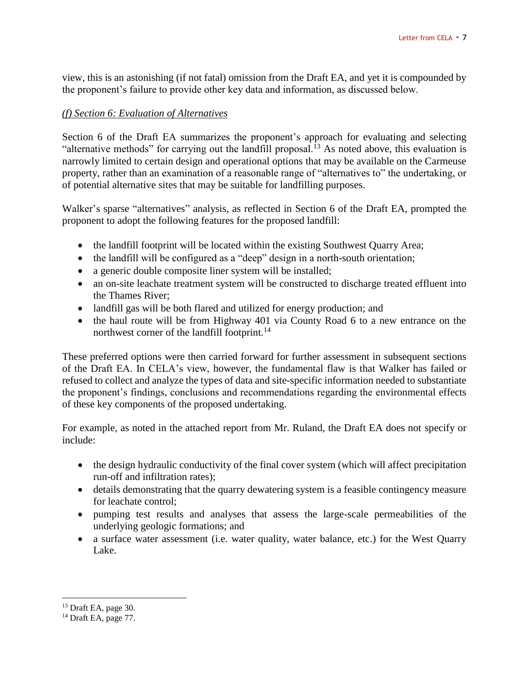view, this is an astonishing (if not fatal) omission from the Draft EA, and yet it is compounded by the proponent's failure to provide other key data and information, as discussed below.

### *(f) Section 6: Evaluation of Alternatives*

Section 6 of the Draft EA summarizes the proponent's approach for evaluating and selecting "alternative methods" for carrying out the landfill proposal.<sup>13</sup> As noted above, this evaluation is narrowly limited to certain design and operational options that may be available on the Carmeuse property, rather than an examination of a reasonable range of "alternatives to" the undertaking, or of potential alternative sites that may be suitable for landfilling purposes.

Walker's sparse "alternatives" analysis, as reflected in Section 6 of the Draft EA, prompted the proponent to adopt the following features for the proposed landfill:

- the landfill footprint will be located within the existing Southwest Quarry Area;
- the landfill will be configured as a "deep" design in a north-south orientation;
- a generic double composite liner system will be installed;
- an on-site leachate treatment system will be constructed to discharge treated effluent into the Thames River;
- landfill gas will be both flared and utilized for energy production; and
- the haul route will be from Highway 401 via County Road 6 to a new entrance on the northwest corner of the landfill footprint.<sup>14</sup>

These preferred options were then carried forward for further assessment in subsequent sections of the Draft EA. In CELA's view, however, the fundamental flaw is that Walker has failed or refused to collect and analyze the types of data and site-specific information needed to substantiate the proponent's findings, conclusions and recommendations regarding the environmental effects of these key components of the proposed undertaking.

For example, as noted in the attached report from Mr. Ruland, the Draft EA does not specify or include:

- the design hydraulic conductivity of the final cover system (which will affect precipitation run-off and infiltration rates);
- details demonstrating that the quarry dewatering system is a feasible contingency measure for leachate control;
- pumping test results and analyses that assess the large-scale permeabilities of the underlying geologic formations; and
- a surface water assessment (i.e. water quality, water balance, etc.) for the West Quarry Lake.

<sup>&</sup>lt;sup>13</sup> Draft EA, page 30.

 $14$  Draft EA, page 77.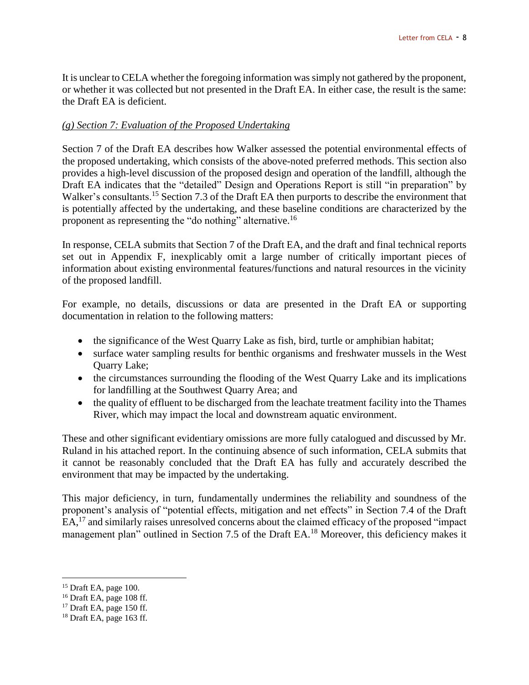It is unclear to CELA whether the foregoing information was simply not gathered by the proponent, or whether it was collected but not presented in the Draft EA. In either case, the result is the same: the Draft EA is deficient.

#### *(g) Section 7: Evaluation of the Proposed Undertaking*

Section 7 of the Draft EA describes how Walker assessed the potential environmental effects of the proposed undertaking, which consists of the above-noted preferred methods. This section also provides a high-level discussion of the proposed design and operation of the landfill, although the Draft EA indicates that the "detailed" Design and Operations Report is still "in preparation" by Walker's consultants.<sup>15</sup> Section 7.3 of the Draft EA then purports to describe the environment that is potentially affected by the undertaking, and these baseline conditions are characterized by the proponent as representing the "do nothing" alternative.<sup>16</sup>

In response, CELA submits that Section 7 of the Draft EA, and the draft and final technical reports set out in Appendix F, inexplicably omit a large number of critically important pieces of information about existing environmental features/functions and natural resources in the vicinity of the proposed landfill.

For example, no details, discussions or data are presented in the Draft EA or supporting documentation in relation to the following matters:

- the significance of the West Quarry Lake as fish, bird, turtle or amphibian habitat;
- surface water sampling results for benthic organisms and freshwater mussels in the West Quarry Lake;
- the circumstances surrounding the flooding of the West Quarry Lake and its implications for landfilling at the Southwest Quarry Area; and
- the quality of effluent to be discharged from the leachate treatment facility into the Thames River, which may impact the local and downstream aquatic environment.

These and other significant evidentiary omissions are more fully catalogued and discussed by Mr. Ruland in his attached report. In the continuing absence of such information, CELA submits that it cannot be reasonably concluded that the Draft EA has fully and accurately described the environment that may be impacted by the undertaking.

This major deficiency, in turn, fundamentally undermines the reliability and soundness of the proponent's analysis of "potential effects, mitigation and net effects" in Section 7.4 of the Draft EA,<sup>17</sup> and similarly raises unresolved concerns about the claimed efficacy of the proposed "impact management plan" outlined in Section 7.5 of the Draft EA.<sup>18</sup> Moreover, this deficiency makes it

 $15$  Draft EA, page 100.

 $16$  Draft EA, page 108 ff.

 $17$  Draft EA, page 150 ff.

 $18$  Draft EA, page 163 ff.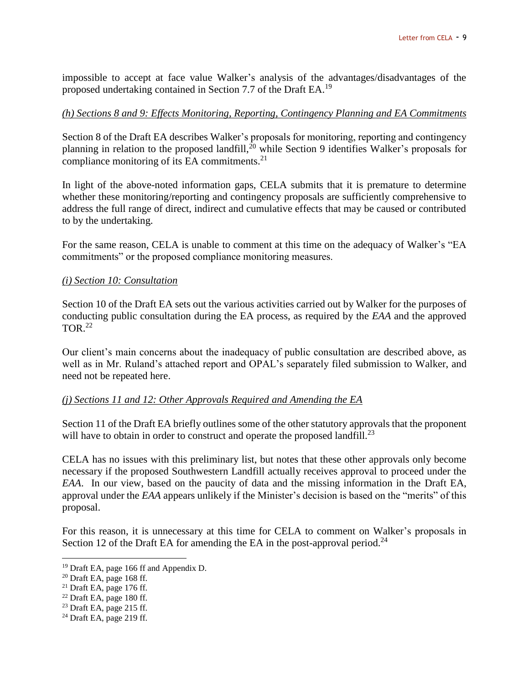impossible to accept at face value Walker's analysis of the advantages/disadvantages of the proposed undertaking contained in Section 7.7 of the Draft EA.<sup>19</sup>

#### *(h) Sections 8 and 9: Effects Monitoring, Reporting, Contingency Planning and EA Commitments*

Section 8 of the Draft EA describes Walker's proposals for monitoring, reporting and contingency planning in relation to the proposed landfill,<sup>20</sup> while Section 9 identifies Walker's proposals for compliance monitoring of its  $EA$  commitments.<sup>21</sup>

In light of the above-noted information gaps, CELA submits that it is premature to determine whether these monitoring/reporting and contingency proposals are sufficiently comprehensive to address the full range of direct, indirect and cumulative effects that may be caused or contributed to by the undertaking.

For the same reason, CELA is unable to comment at this time on the adequacy of Walker's "EA commitments" or the proposed compliance monitoring measures.

#### *(i) Section 10: Consultation*

Section 10 of the Draft EA sets out the various activities carried out by Walker for the purposes of conducting public consultation during the EA process, as required by the *EAA* and the approved  $TOR<sup>22</sup>$ 

Our client's main concerns about the inadequacy of public consultation are described above, as well as in Mr. Ruland's attached report and OPAL's separately filed submission to Walker, and need not be repeated here.

#### *(j) Sections 11 and 12: Other Approvals Required and Amending the EA*

Section 11 of the Draft EA briefly outlines some of the other statutory approvals that the proponent will have to obtain in order to construct and operate the proposed landfill.<sup>23</sup>

CELA has no issues with this preliminary list, but notes that these other approvals only become necessary if the proposed Southwestern Landfill actually receives approval to proceed under the *EAA*. In our view, based on the paucity of data and the missing information in the Draft EA, approval under the *EAA* appears unlikely if the Minister's decision is based on the "merits" of this proposal.

For this reason, it is unnecessary at this time for CELA to comment on Walker's proposals in Section 12 of the Draft EA for amending the EA in the post-approval period.<sup>24</sup>

<sup>19</sup> Draft EA, page 166 ff and Appendix D.

<sup>20</sup> Draft EA, page 168 ff.

 $21$  Draft EA, page 176 ff.

 $22$  Draft EA, page 180 ff.

 $23$  Draft EA, page 215 ff.

 $24$  Draft EA, page 219 ff.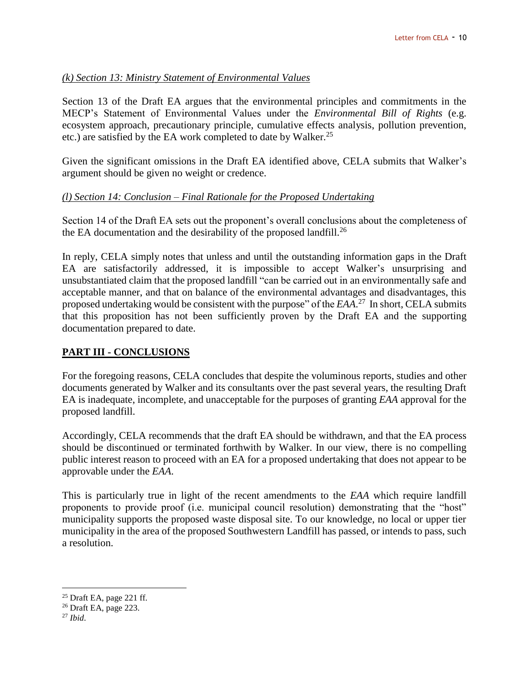### *(k) Section 13: Ministry Statement of Environmental Values*

Section 13 of the Draft EA argues that the environmental principles and commitments in the MECP's Statement of Environmental Values under the *Environmental Bill of Rights* (e.g. ecosystem approach, precautionary principle, cumulative effects analysis, pollution prevention, etc.) are satisfied by the EA work completed to date by Walker. 25

Given the significant omissions in the Draft EA identified above, CELA submits that Walker's argument should be given no weight or credence.

# *(l) Section 14: Conclusion – Final Rationale for the Proposed Undertaking*

Section 14 of the Draft EA sets out the proponent's overall conclusions about the completeness of the EA documentation and the desirability of the proposed landfill.<sup>26</sup>

In reply, CELA simply notes that unless and until the outstanding information gaps in the Draft EA are satisfactorily addressed, it is impossible to accept Walker's unsurprising and unsubstantiated claim that the proposed landfill "can be carried out in an environmentally safe and acceptable manner, and that on balance of the environmental advantages and disadvantages, this proposed undertaking would be consistent with the purpose" of the *EAA*.<sup>27</sup> In short, CELA submits that this proposition has not been sufficiently proven by the Draft EA and the supporting documentation prepared to date.

# **PART III - CONCLUSIONS**

For the foregoing reasons, CELA concludes that despite the voluminous reports, studies and other documents generated by Walker and its consultants over the past several years, the resulting Draft EA is inadequate, incomplete, and unacceptable for the purposes of granting *EAA* approval for the proposed landfill.

Accordingly, CELA recommends that the draft EA should be withdrawn, and that the EA process should be discontinued or terminated forthwith by Walker. In our view, there is no compelling public interest reason to proceed with an EA for a proposed undertaking that does not appear to be approvable under the *EAA*.

This is particularly true in light of the recent amendments to the *EAA* which require landfill proponents to provide proof (i.e. municipal council resolution) demonstrating that the "host" municipality supports the proposed waste disposal site. To our knowledge, no local or upper tier municipality in the area of the proposed Southwestern Landfill has passed, or intends to pass, such a resolution.

 $25$  Draft EA, page 221 ff.

 $26$  Draft EA, page 223.

<sup>27</sup> *Ibid*.